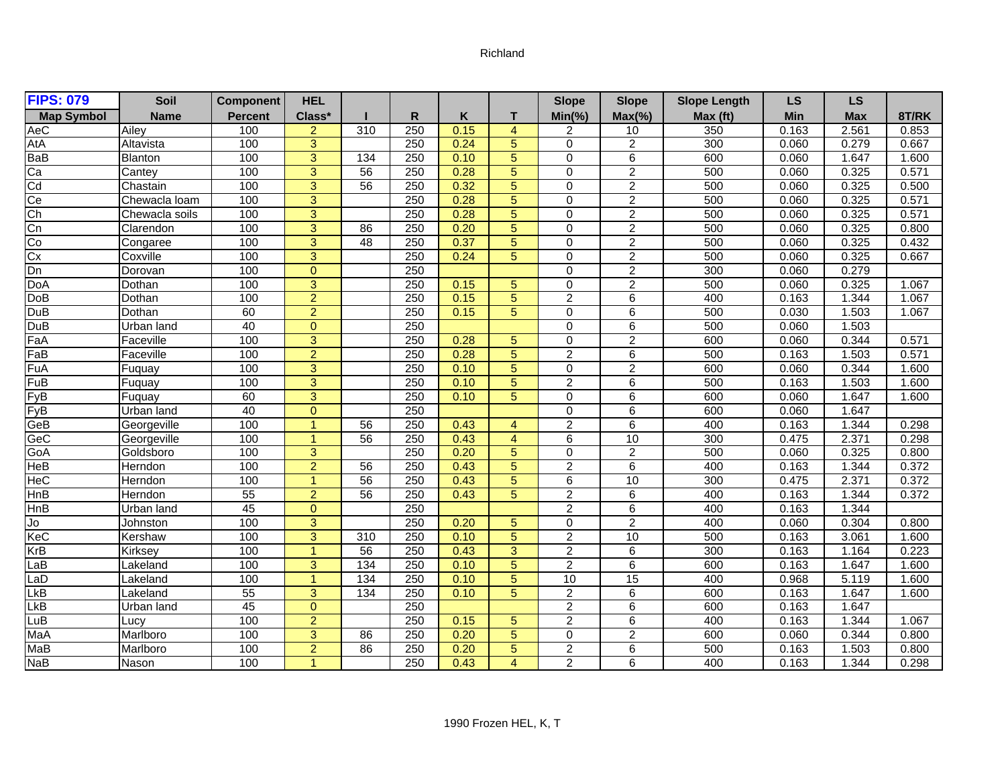## Richland

| <b>FIPS: 079</b>      | Soil           | <b>Component</b> | <b>HEL</b>     |                 |     |      |                | <b>Slope</b>            | <b>Slope</b>    | <b>Slope Length</b> | <b>LS</b> | <b>LS</b>  |       |
|-----------------------|----------------|------------------|----------------|-----------------|-----|------|----------------|-------------------------|-----------------|---------------------|-----------|------------|-------|
| <b>Map Symbol</b>     | <b>Name</b>    | <b>Percent</b>   | Class*         |                 | R   | Κ    | т              | $Min(\% )$              | $Max(\% )$      | Max (ft)            | Min       | <b>Max</b> | 8T/RK |
| AeC                   | Ailev          | 100              | $\overline{2}$ | 310             | 250 | 0.15 | $\overline{4}$ | 2                       | 10              | 350                 | 0.163     | 2.561      | 0.853 |
| <b>AtA</b>            | Altavista      | 100              | 3              |                 | 250 | 0.24 | 5              | $\mathbf 0$             | $\overline{2}$  | 300                 | 0.060     | 0.279      | 0.667 |
| BaB                   | <b>Blanton</b> | 100              | 3              | 134             | 250 | 0.10 | 5              | $\Omega$                | 6               | 600                 | 0.060     | 1.647      | 1.600 |
|                       | Cantey         | 100              | $\overline{3}$ | 56              | 250 | 0.28 | 5              | $\overline{0}$          | $\overline{2}$  | 500                 | 0.060     | 0.325      | 0.571 |
| $\frac{Ca}{C}$        | Chastain       | 100              | 3              | 56              | 250 | 0.32 | 5              | $\overline{0}$          | $\overline{2}$  | 500                 | 0.060     | 0.325      | 0.500 |
| Ce                    | Chewacla loam  | 100              | $\overline{3}$ |                 | 250 | 0.28 | 5              | $\mathbf 0$             | $\overline{c}$  | 500                 | 0.060     | 0.325      | 0.571 |
| $\frac{1}{\text{Ch}}$ | Chewacla soils | 100              | 3              |                 | 250 | 0.28 | 5              | $\Omega$                | $\overline{2}$  | 500                 | 0.060     | 0.325      | 0.571 |
| Cn                    | Clarendon      | 100              | $\overline{3}$ | $\overline{86}$ | 250 | 0.20 | $\overline{5}$ | $\mathbf 0$             | $\overline{2}$  | 500                 | 0.060     | 0.325      | 0.800 |
| Co                    | Congaree       | 100              | $\overline{3}$ | $\overline{48}$ | 250 | 0.37 | 5              | $\mathbf 0$             | $\overline{2}$  | 500                 | 0.060     | 0.325      | 0.432 |
| Cx                    | Coxville       | 100              | 3              |                 | 250 | 0.24 | 5              | $\overline{0}$          | $\overline{2}$  | 500                 | 0.060     | 0.325      | 0.667 |
| Dn                    | Dorovan        | 100              | $\Omega$       |                 | 250 |      |                | $\mathbf 0$             | $\overline{c}$  | 300                 | 0.060     | 0.279      |       |
| <b>DoA</b>            | Dothan         | 100              | $\overline{3}$ |                 | 250 | 0.15 | 5              | $\mathbf 0$             | $\overline{2}$  | 500                 | 0.060     | 0.325      | 1.067 |
| <b>DoB</b>            | Dothan         | 100              | $\overline{2}$ |                 | 250 | 0.15 | 5              | $\overline{2}$          | 6               | 400                 | 0.163     | 1.344      | 1.067 |
| DuB                   | Dothan         | 60               | $\overline{2}$ |                 | 250 | 0.15 | 5              | $\overline{0}$          | $\overline{6}$  | 500                 | 0.030     | 1.503      | 1.067 |
| <b>DuB</b>            | Urban land     | 40               | $\Omega$       |                 | 250 |      |                | $\mathbf 0$             | 6               | 500                 | 0.060     | 1.503      |       |
| FaA                   | Faceville      | 100              | 3              |                 | 250 | 0.28 | 5              | $\mathbf 0$             | $\overline{2}$  | 600                 | 0.060     | 0.344      | 0.571 |
| FaB                   | Faceville      | 100              | $\overline{2}$ |                 | 250 | 0.28 | 5              | $\overline{2}$          | 6               | 500                 | 0.163     | 1.503      | 0.571 |
| FuA                   | Fuquay         | 100              | $\overline{3}$ |                 | 250 | 0.10 | 5              | $\mathbf 0$             | $\overline{2}$  | 600                 | 0.060     | 0.344      | 1.600 |
| FuB                   | Fuquay         | 100              | 3              |                 | 250 | 0.10 | 5              | $\overline{2}$          | 6               | 500                 | 0.163     | 1.503      | 1.600 |
| FyB                   | Fuquay         | 60               | 3              |                 | 250 | 0.10 | 5              | $\mathbf 0$             | 6               | 600                 | 0.060     | 1.647      | 1.600 |
| FyB                   | Urban land     | 40               | $\Omega$       |                 | 250 |      |                | $\mathbf 0$             | 6               | 600                 | 0.060     | 1.647      |       |
| GeB                   | Georgeville    | 100              | $\overline{1}$ | 56              | 250 | 0.43 | $\overline{4}$ | $\overline{2}$          | $\overline{6}$  | 400                 | 0.163     | 1.344      | 0.298 |
| GeC                   | Georgeville    | 100              | $\overline{1}$ | $\overline{56}$ | 250 | 0.43 | $\overline{4}$ | 6                       | 10              | 300                 | 0.475     | 2.371      | 0.298 |
| GoA                   | Goldsboro      | 100              | $\overline{3}$ |                 | 250 | 0.20 | 5              | $\mathbf 0$             | $\overline{2}$  | 500                 | 0.060     | 0.325      | 0.800 |
| <b>HeB</b>            | Herndon        | 100              | $\overline{2}$ | 56              | 250 | 0.43 | 5              | $\overline{2}$          | 6               | 400                 | 0.163     | 1.344      | 0.372 |
| <b>HeC</b>            | Herndon        | 100              | $\overline{1}$ | $\overline{56}$ | 250 | 0.43 | 5              | 6                       | $\overline{10}$ | 300                 | 0.475     | 2.371      | 0.372 |
| HnB                   | Herndon        | 55               | $\overline{2}$ | 56              | 250 | 0.43 | 5              | $\overline{2}$          | 6               | 400                 | 0.163     | 1.344      | 0.372 |
| HnB                   | Urban land     | 45               | $\overline{0}$ |                 | 250 |      |                | $\overline{2}$          | 6               | 400                 | 0.163     | 1.344      |       |
| Jo                    | Johnston       | 100              | 3              |                 | 250 | 0.20 | 5              | $\Omega$                | $\overline{2}$  | 400                 | 0.060     | 0.304      | 0.800 |
| KeC                   | Kershaw        | 100              | $\overline{3}$ | 310             | 250 | 0.10 | $\overline{5}$ | $\overline{2}$          | 10              | 500                 | 0.163     | 3.061      | 1.600 |
| <b>KrB</b>            | Kirksey        | 100              | $\overline{1}$ | $\overline{56}$ | 250 | 0.43 | 3              | $\overline{2}$          | 6               | 300                 | 0.163     | 1.164      | 0.223 |
| LaB                   | Lakeland       | 100              | 3              | 134             | 250 | 0.10 | 5              | $\overline{2}$          | 6               | 600                 | 0.163     | 1.647      | 1.600 |
| LaD                   | Lakeland       | 100              | $\overline{1}$ | 134             | 250 | 0.10 | 5              | 10                      | $\overline{15}$ | 400                 | 0.968     | 5.119      | 1.600 |
| <b>LkB</b>            | Lakeland       | 55               | $\overline{3}$ | 134             | 250 | 0.10 | 5              | $\overline{2}$          | 6               | 600                 | 0.163     | 1.647      | 1.600 |
| <b>LkB</b>            | Urban land     | 45               | $\overline{0}$ |                 | 250 |      |                | $\overline{2}$          | $\overline{6}$  | 600                 | 0.163     | 1.647      |       |
| LuB                   | Lucv           | 100              | $\overline{2}$ |                 | 250 | 0.15 | 5              | $\overline{2}$          | 6               | 400                 | 0.163     | 1.344      | 1.067 |
| MaA                   | Marlboro       | 100              | 3              | 86              | 250 | 0.20 | 5              | $\mathbf 0$             | $\overline{2}$  | 600                 | 0.060     | 0.344      | 0.800 |
| MaB                   | Marlboro       | 100              | $\overline{a}$ | 86              | 250 | 0.20 | 5              | $\overline{\mathbf{c}}$ | 6               | 500                 | 0.163     | 1.503      | 0.800 |
| <b>NaB</b>            | Nason          | 100              |                |                 | 250 | 0.43 | $\overline{4}$ | $\overline{2}$          | 6               | 400                 | 0.163     | 1.344      | 0.298 |